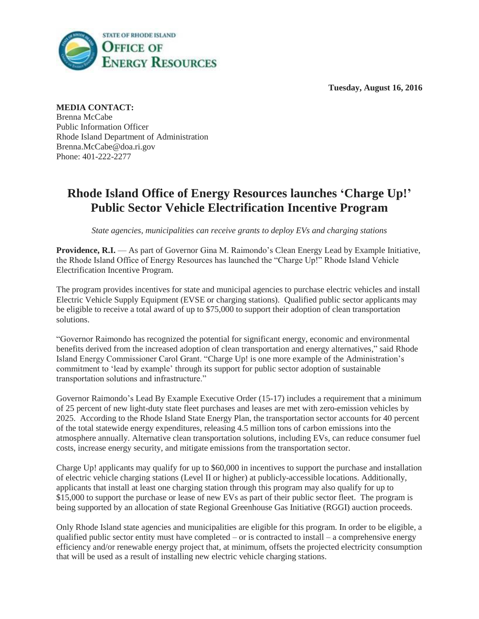**Tuesday, August 16, 2016**



**MEDIA CONTACT:** Brenna McCabe Public Information Officer Rhode Island Department of Administration Brenna.McCabe@doa.ri.gov Phone: 401-222-2277

## **Rhode Island Office of Energy Resources launches 'Charge Up!' Public Sector Vehicle Electrification Incentive Program**

*State agencies, municipalities can receive grants to deploy EVs and charging stations*

**Providence, R.I.** — As part of Governor Gina M. Raimondo's Clean Energy Lead by Example Initiative, the Rhode Island Office of Energy Resources has launched the "Charge Up!" Rhode Island Vehicle Electrification Incentive Program.

The program provides incentives for state and municipal agencies to purchase electric vehicles and install Electric Vehicle Supply Equipment (EVSE or charging stations). Qualified public sector applicants may be eligible to receive a total award of up to \$75,000 to support their adoption of clean transportation solutions.

"Governor Raimondo has recognized the potential for significant energy, economic and environmental benefits derived from the increased adoption of clean transportation and energy alternatives," said Rhode Island Energy Commissioner Carol Grant. "Charge Up! is one more example of the Administration's commitment to 'lead by example' through its support for public sector adoption of sustainable transportation solutions and infrastructure."

Governor Raimondo's Lead By Example Executive Order (15-17) includes a requirement that a minimum of 25 percent of new light-duty state fleet purchases and leases are met with zero-emission vehicles by 2025. According to the Rhode Island State Energy Plan, the transportation sector accounts for 40 percent of the total statewide energy expenditures, releasing 4.5 million tons of carbon emissions into the atmosphere annually. Alternative clean transportation solutions, including EVs, can reduce consumer fuel costs, increase energy security, and mitigate emissions from the transportation sector.

Charge Up! applicants may qualify for up to \$60,000 in incentives to support the purchase and installation of electric vehicle charging stations (Level II or higher) at publicly-accessible locations. Additionally, applicants that install at least one charging station through this program may also qualify for up to \$15,000 to support the purchase or lease of new EVs as part of their public sector fleet. The program is being supported by an allocation of state Regional Greenhouse Gas Initiative (RGGI) auction proceeds.

Only Rhode Island state agencies and municipalities are eligible for this program. In order to be eligible, a qualified public sector entity must have completed – or is contracted to install – a comprehensive energy efficiency and/or renewable energy project that, at minimum, offsets the projected electricity consumption that will be used as a result of installing new electric vehicle charging stations.